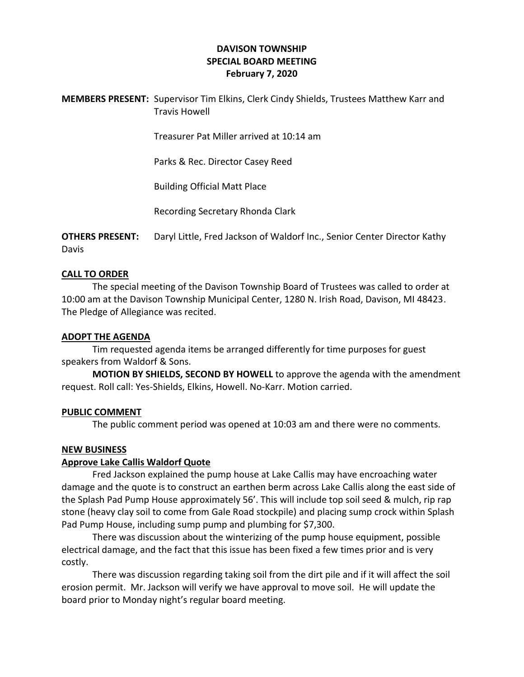# **DAVISON TOWNSHIP SPECIAL BOARD MEETING February 7, 2020**

**MEMBERS PRESENT:** Supervisor Tim Elkins, Clerk Cindy Shields, Trustees Matthew Karr and Travis Howell

Treasurer Pat Miller arrived at 10:14 am

Parks & Rec. Director Casey Reed

Building Official Matt Place

Recording Secretary Rhonda Clark

**OTHERS PRESENT:** Daryl Little, Fred Jackson of Waldorf Inc., Senior Center Director Kathy Davis

### **CALL TO ORDER**

The special meeting of the Davison Township Board of Trustees was called to order at 10:00 am at the Davison Township Municipal Center, 1280 N. Irish Road, Davison, MI 48423. The Pledge of Allegiance was recited.

#### **ADOPT THE AGENDA**

Tim requested agenda items be arranged differently for time purposes for guest speakers from Waldorf & Sons.

**MOTION BY SHIELDS, SECOND BY HOWELL** to approve the agenda with the amendment request. Roll call: Yes-Shields, Elkins, Howell. No-Karr. Motion carried.

#### **PUBLIC COMMENT**

The public comment period was opened at 10:03 am and there were no comments.

### **NEW BUSINESS**

#### **Approve Lake Callis Waldorf Quote**

Fred Jackson explained the pump house at Lake Callis may have encroaching water damage and the quote is to construct an earthen berm across Lake Callis along the east side of the Splash Pad Pump House approximately 56'. This will include top soil seed & mulch, rip rap stone (heavy clay soil to come from Gale Road stockpile) and placing sump crock within Splash Pad Pump House, including sump pump and plumbing for \$7,300.

There was discussion about the winterizing of the pump house equipment, possible electrical damage, and the fact that this issue has been fixed a few times prior and is very costly.

There was discussion regarding taking soil from the dirt pile and if it will affect the soil erosion permit. Mr. Jackson will verify we have approval to move soil. He will update the board prior to Monday night's regular board meeting.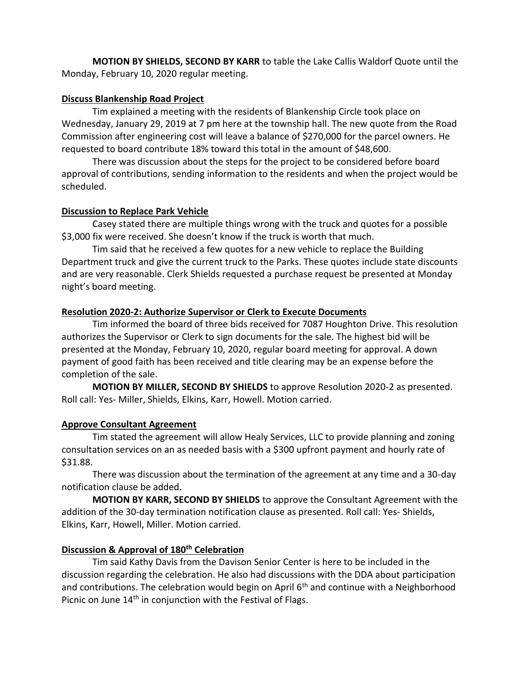**MOTION BY SHIELDS, SECOND BY KARR** to table the Lake Callis Waldorf Quote until the Monday, February 10, 2020 regular meeting.

## **Discuss Blankenship Road Project**

Tim explained a meeting with the residents of Blankenship Circle took place on Wednesday, January 29, 2019 at 7 pm here at the township hall. The new quote from the Road Commission after engineering cost will leave a balance of \$270,000 for the parcel owners. He requested to board contribute 18% toward this total in the amount of \$48,600.

There was discussion about the steps for the project to be considered before board approval of contributions, sending information to the residents and when the project would be scheduled.

## **Discussion to Replace Park Vehicle**

Casey stated there are multiple things wrong with the truck and quotes for a possible \$3,000 fix were received. She doesn't know if the truck is worth that much.

Tim said that he received a few quotes for a new vehicle to replace the Building Department truck and give the current truck to the Parks. These quotes include state discounts and are very reasonable. Clerk Shields requested a purchase request be presented at Monday night's board meeting.

## **Resolution 2020-2: Authorize Supervisor or Clerk to Execute Documents**

Tim informed the board of three bids received for 7087 Houghton Drive. This resolution authorizes the Supervisor or Clerk to sign documents for the sale. The highest bid will be presented at the Monday, February 10, 2020, regular board meeting for approval. A down payment of good faith has been received and title clearing may be an expense before the completion of the sale.

**MOTION BY MILLER, SECOND BY SHIELDS** to approve Resolution 2020-2 as presented. Roll call: Yes- Miller, Shields, Elkins, Karr, Howell. Motion carried.

# **Approve Consultant Agreement**

Tim stated the agreement will allow Healy Services, LLC to provide planning and zoning consultation services on an as needed basis with a \$300 upfront payment and hourly rate of \$31.88.

There was discussion about the termination of the agreement at any time and a 30-day notification clause be added.

**MOTION BY KARR, SECOND BY SHIELDS** to approve the Consultant Agreement with the addition of the 30-day termination notification clause as presented. Roll call: Yes- Shields, Elkins, Karr, Howell, Miller. Motion carried.

# **Discussion & Approval of 180th Celebration**

Tim said Kathy Davis from the Davison Senior Center is here to be included in the discussion regarding the celebration. He also had discussions with the DDA about participation and contributions. The celebration would begin on April  $6<sup>th</sup>$  and continue with a Neighborhood Picnic on June 14<sup>th</sup> in conjunction with the Festival of Flags.